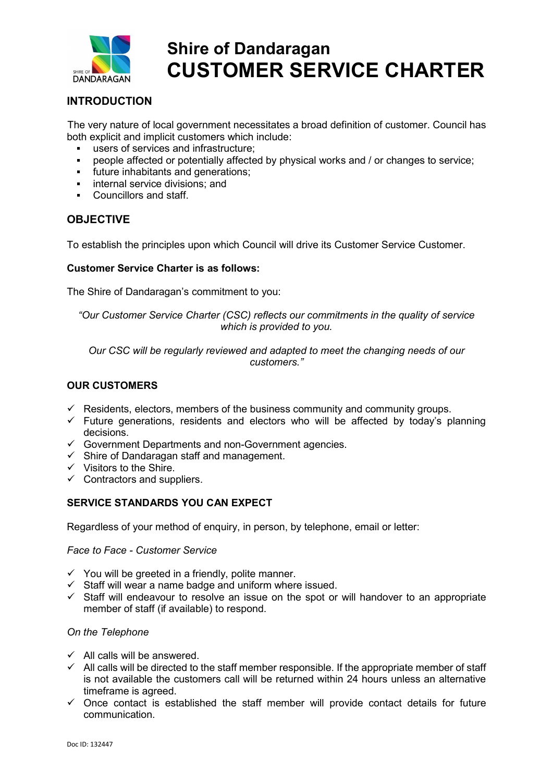

# Shire of Dandaragan CUSTOMER SERVICE CHARTER

# INTRODUCTION

The very nature of local government necessitates a broad definition of customer. Council has both explicit and implicit customers which include:

- users of services and infrastructure;
- people affected or potentially affected by physical works and / or changes to service;
- future inhabitants and generations;
- internal service divisions; and
- Councillors and staff.

## **OBJECTIVE**

To establish the principles upon which Council will drive its Customer Service Customer.

### Customer Service Charter is as follows:

The Shire of Dandaragan's commitment to you:

### "Our Customer Service Charter (CSC) reflects our commitments in the quality of service which is provided to you.

Our CSC will be regularly reviewed and adapted to meet the changing needs of our customers."

### OUR CUSTOMERS

- $\checkmark$  Residents, electors, members of the business community and community groups.
- $\checkmark$  Future generations, residents and electors who will be affected by today's planning decisions.
- Government Departments and non-Government agencies.
- $\checkmark$  Shire of Dandaragan staff and management.
- $\checkmark$  Visitors to the Shire.
- $\checkmark$  Contractors and suppliers.

### SERVICE STANDARDS YOU CAN EXPECT

Regardless of your method of enquiry, in person, by telephone, email or letter:

#### Face to Face - Customer Service

- $\checkmark$  You will be greeted in a friendly, polite manner.
- $\checkmark$  Staff will wear a name badge and uniform where issued.
- $\checkmark$  Staff will endeavour to resolve an issue on the spot or will handover to an appropriate member of staff (if available) to respond.

#### On the Telephone

- $\checkmark$  All calls will be answered.
- $\checkmark$  All calls will be directed to the staff member responsible. If the appropriate member of staff is not available the customers call will be returned within 24 hours unless an alternative timeframe is agreed.
- $\checkmark$  Once contact is established the staff member will provide contact details for future communication.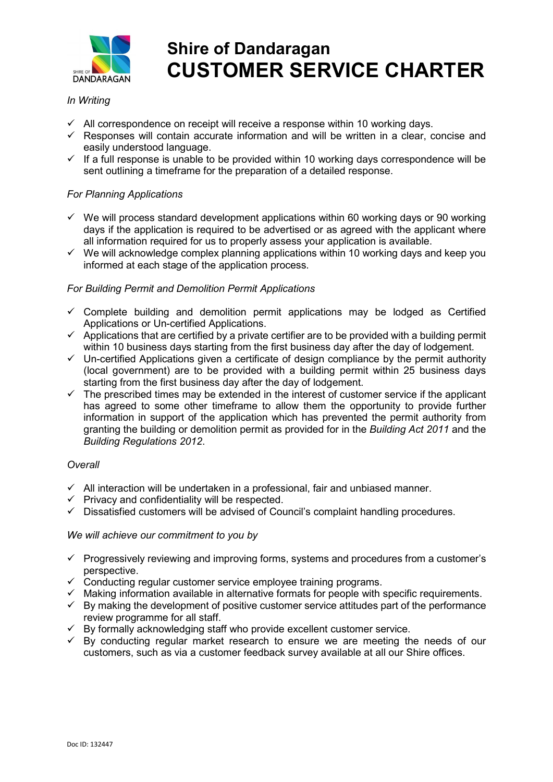

# Shire of Dandaragan CUSTOMER SERVICE CHARTER

# In Writing

- $\checkmark$  All correspondence on receipt will receive a response within 10 working days.
- $\checkmark$  Responses will contain accurate information and will be written in a clear, concise and easily understood language.
- $\checkmark$  If a full response is unable to be provided within 10 working days correspondence will be sent outlining a timeframe for the preparation of a detailed response.

### For Planning Applications

- $\checkmark$  We will process standard development applications within 60 working days or 90 working days if the application is required to be advertised or as agreed with the applicant where all information required for us to properly assess your application is available.
- $\checkmark$  We will acknowledge complex planning applications within 10 working days and keep you informed at each stage of the application process.

### For Building Permit and Demolition Permit Applications

- $\checkmark$  Complete building and demolition permit applications may be lodged as Certified Applications or Un-certified Applications.
- $\checkmark$  Applications that are certified by a private certifier are to be provided with a building permit within 10 business days starting from the first business day after the day of lodgement.
- $\checkmark$  Un-certified Applications given a certificate of design compliance by the permit authority (local government) are to be provided with a building permit within 25 business days starting from the first business day after the day of lodgement.
- $\checkmark$  The prescribed times may be extended in the interest of customer service if the applicant has agreed to some other timeframe to allow them the opportunity to provide further information in support of the application which has prevented the permit authority from granting the building or demolition permit as provided for in the Building Act 2011 and the Building Regulations 2012.

#### **Overall**

- $\checkmark$  All interaction will be undertaken in a professional, fair and unbiased manner.
- $\checkmark$  Privacy and confidentiality will be respected.
- $\checkmark$  Dissatisfied customers will be advised of Council's complaint handling procedures.

### We will achieve our commitment to you by

- $\checkmark$  Progressively reviewing and improving forms, systems and procedures from a customer's perspective.
- Conducting regular customer service employee training programs.
- $\checkmark$  Making information available in alternative formats for people with specific requirements.
- $\checkmark$  By making the development of positive customer service attitudes part of the performance review programme for all staff.
- $\checkmark$  By formally acknowledging staff who provide excellent customer service.
- $\checkmark$  By conducting regular market research to ensure we are meeting the needs of our customers, such as via a customer feedback survey available at all our Shire offices.